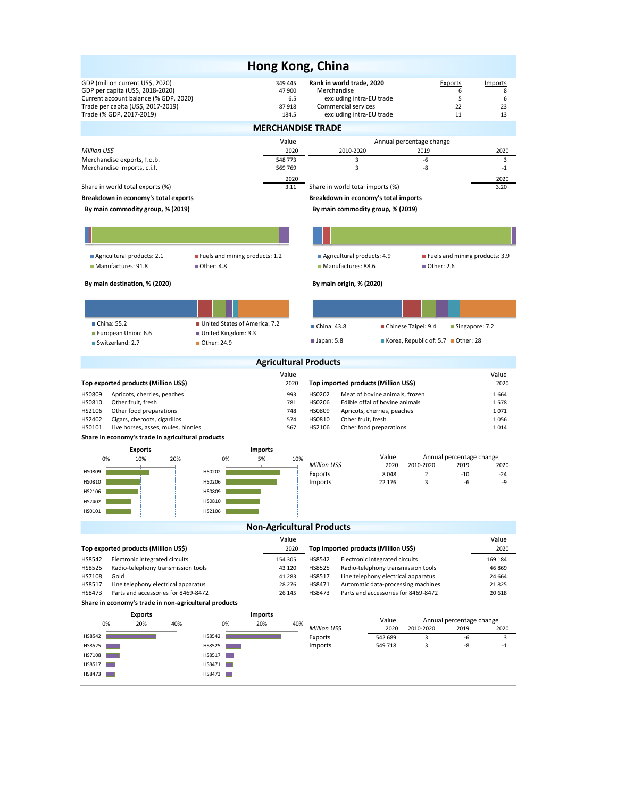|                                                                                                                                                                                 |                                      | Hong Kong, China                                                          |                                                                                                                         |                                                                           |                                                                       |  |  |  |  |  |  |
|---------------------------------------------------------------------------------------------------------------------------------------------------------------------------------|--------------------------------------|---------------------------------------------------------------------------|-------------------------------------------------------------------------------------------------------------------------|---------------------------------------------------------------------------|-----------------------------------------------------------------------|--|--|--|--|--|--|
| GDP (million current US\$, 2020)<br>GDP per capita (US\$, 2018-2020)<br>Current account balance (% GDP, 2020)<br>Trade per capita (US\$, 2017-2019)<br>Trade (% GDP, 2017-2019) |                                      | 349 445<br>47 900<br>6.5<br>87918<br>184.5                                | Rank in world trade, 2020<br>Merchandise<br>excluding intra-EU trade<br>Commercial services<br>excluding intra-EU trade |                                                                           | <b>Exports</b><br>Imports<br>6<br>8<br>5<br>6<br>22<br>23<br>11<br>13 |  |  |  |  |  |  |
| <b>MERCHANDISE TRADE</b>                                                                                                                                                        |                                      |                                                                           |                                                                                                                         |                                                                           |                                                                       |  |  |  |  |  |  |
|                                                                                                                                                                                 |                                      | Value                                                                     |                                                                                                                         | Annual percentage change                                                  |                                                                       |  |  |  |  |  |  |
| Million US\$<br>Merchandise exports, f.o.b.                                                                                                                                     |                                      | 2020<br>548 773                                                           | 2010-2020<br>3                                                                                                          | 2019<br>-6                                                                | 2020<br>3                                                             |  |  |  |  |  |  |
| Merchandise imports, c.i.f.                                                                                                                                                     |                                      | 569 769                                                                   | 3                                                                                                                       | -8                                                                        | $-1$                                                                  |  |  |  |  |  |  |
|                                                                                                                                                                                 |                                      | 2020                                                                      |                                                                                                                         |                                                                           | 2020                                                                  |  |  |  |  |  |  |
| Share in world total exports (%)<br>Breakdown in economy's total exports                                                                                                        |                                      | 3.11                                                                      | Share in world total imports (%)                                                                                        |                                                                           | 3.20                                                                  |  |  |  |  |  |  |
| By main commodity group, % (2019)                                                                                                                                               |                                      | Breakdown in economy's total imports<br>By main commodity group, % (2019) |                                                                                                                         |                                                                           |                                                                       |  |  |  |  |  |  |
|                                                                                                                                                                                 |                                      |                                                                           |                                                                                                                         |                                                                           |                                                                       |  |  |  |  |  |  |
|                                                                                                                                                                                 |                                      |                                                                           |                                                                                                                         |                                                                           |                                                                       |  |  |  |  |  |  |
| Agricultural products: 2.1                                                                                                                                                      | ■ Fuels and mining products: 1.2     |                                                                           | Agricultural products: 4.9                                                                                              |                                                                           | ■ Fuels and mining products: 3.9                                      |  |  |  |  |  |  |
| Manufactures: 91.8                                                                                                                                                              | ■ Other: 4.8                         |                                                                           | Manufactures: 88.6                                                                                                      | ■ Other: 2.6                                                              |                                                                       |  |  |  |  |  |  |
| By main destination, % (2020)                                                                                                                                                   |                                      |                                                                           | By main origin, % (2020)                                                                                                |                                                                           |                                                                       |  |  |  |  |  |  |
|                                                                                                                                                                                 |                                      |                                                                           |                                                                                                                         |                                                                           |                                                                       |  |  |  |  |  |  |
| China: 55.2                                                                                                                                                                     | United States of America: 7.2        |                                                                           | ■ China: 43.8                                                                                                           | Chinese Taipei: 9.4                                                       | ■ Singapore: 7.2                                                      |  |  |  |  |  |  |
| European Union: 6.6<br>Switzerland: 2.7                                                                                                                                         | United Kingdom: 3.3<br>■ Other: 24.9 |                                                                           | Japan: 5.8                                                                                                              | Korea, Republic of: 5.7 Other: 28                                         |                                                                       |  |  |  |  |  |  |
|                                                                                                                                                                                 |                                      | <b>Agricultural Products</b>                                              |                                                                                                                         |                                                                           |                                                                       |  |  |  |  |  |  |
|                                                                                                                                                                                 |                                      | Value                                                                     |                                                                                                                         |                                                                           | Value                                                                 |  |  |  |  |  |  |
| Top exported products (Million US\$)                                                                                                                                            |                                      | 2020                                                                      | Top imported products (Million US\$)                                                                                    |                                                                           | 2020                                                                  |  |  |  |  |  |  |
| <b>HS0809</b><br>Apricots, cherries, peaches<br>HS0810<br>Other fruit, fresh                                                                                                    |                                      | 993<br>781                                                                | HS0202<br>Meat of bovine animals, frozen<br>HS0206<br>Edible offal of bovine animals                                    |                                                                           | 1664<br>1578                                                          |  |  |  |  |  |  |
| HS2106<br>Other food preparations                                                                                                                                               |                                      | 748                                                                       | HS0809<br>Apricots, cherries, peaches                                                                                   |                                                                           | 1071                                                                  |  |  |  |  |  |  |
| HS2402<br>Cigars, cheroots, cigarillos<br>HS0101<br>Live horses, asses, mules, hinnies                                                                                          |                                      | 574<br>567                                                                | HS0810<br>Other fruit, fresh<br>HS2106<br>Other food preparations                                                       |                                                                           | 1056<br>1014                                                          |  |  |  |  |  |  |
| Share in economy's trade in agricultural products                                                                                                                               |                                      |                                                                           |                                                                                                                         |                                                                           |                                                                       |  |  |  |  |  |  |
| <b>Exports</b>                                                                                                                                                                  |                                      | <b>Imports</b>                                                            |                                                                                                                         |                                                                           |                                                                       |  |  |  |  |  |  |
| 0%<br>10%<br>20%                                                                                                                                                                | 0%                                   | 5%<br>10%                                                                 | Million US\$                                                                                                            | Value<br>2020                                                             | Annual percentage change<br>2010-2020<br>2019<br>2020                 |  |  |  |  |  |  |
| HS0809                                                                                                                                                                          | HS0202                               |                                                                           | Exports                                                                                                                 | 8048<br>$\overline{2}$                                                    | $-10$<br>$-24$                                                        |  |  |  |  |  |  |
| HS0810                                                                                                                                                                          | HS0206                               |                                                                           | Imports                                                                                                                 | 3<br>22 176                                                               | -6<br>-9                                                              |  |  |  |  |  |  |
| HS2106<br>HS2402                                                                                                                                                                | HS0809<br>HS0810                     |                                                                           |                                                                                                                         |                                                                           |                                                                       |  |  |  |  |  |  |
| HS0101                                                                                                                                                                          | HS2106                               |                                                                           |                                                                                                                         |                                                                           |                                                                       |  |  |  |  |  |  |
| <b>Non-Agricultural Products</b>                                                                                                                                                |                                      |                                                                           |                                                                                                                         |                                                                           |                                                                       |  |  |  |  |  |  |
|                                                                                                                                                                                 |                                      | Value                                                                     |                                                                                                                         |                                                                           | Value                                                                 |  |  |  |  |  |  |
| Top exported products (Million US\$)                                                                                                                                            |                                      | 2020                                                                      | Top imported products (Million US\$)                                                                                    |                                                                           | 2020                                                                  |  |  |  |  |  |  |
| HS8542<br>Electronic integrated circuits                                                                                                                                        |                                      | 154 305                                                                   | HS8542<br>Electronic integrated circuits                                                                                |                                                                           | 169 184                                                               |  |  |  |  |  |  |
| HS8525<br>Radio-telephony transmission tools<br>HS7108<br>Gold                                                                                                                  |                                      | 43 120<br>41 283                                                          | HS8525<br>HS8517                                                                                                        | Radio-telephony transmission tools<br>Line telephony electrical apparatus | 46 869<br>24 664                                                      |  |  |  |  |  |  |
| HS8517<br>Line telephony electrical apparatus                                                                                                                                   |                                      | 28 276                                                                    | HS8471                                                                                                                  | Automatic data-processing machines                                        | 21825                                                                 |  |  |  |  |  |  |
| HS8473<br>Parts and accessories for 8469-8472                                                                                                                                   |                                      | 26 145                                                                    | HS8473                                                                                                                  | Parts and accessories for 8469-8472                                       | 20 618                                                                |  |  |  |  |  |  |
| Share in economy's trade in non-agricultural products                                                                                                                           |                                      |                                                                           |                                                                                                                         |                                                                           |                                                                       |  |  |  |  |  |  |
| <b>Exports</b><br>20%<br>0%<br>40%                                                                                                                                              | 0%                                   | <b>Imports</b><br>20%<br>40%                                              |                                                                                                                         | Value                                                                     | Annual percentage change                                              |  |  |  |  |  |  |
| HS8542                                                                                                                                                                          | HS8542                               |                                                                           | Million US\$<br>Exports                                                                                                 | 2020<br>2010-2020<br>3<br>542 689                                         | 2019<br>2020<br>-6<br>3                                               |  |  |  |  |  |  |
| HS8525                                                                                                                                                                          | HS8525                               |                                                                           | Imports                                                                                                                 | 3<br>549 718                                                              | -8<br>-1                                                              |  |  |  |  |  |  |
| HS7108                                                                                                                                                                          | HS8517                               |                                                                           |                                                                                                                         |                                                                           |                                                                       |  |  |  |  |  |  |
| HS8517                                                                                                                                                                          | HS8471                               |                                                                           |                                                                                                                         |                                                                           |                                                                       |  |  |  |  |  |  |
| HS8473                                                                                                                                                                          | HS8473                               |                                                                           |                                                                                                                         |                                                                           |                                                                       |  |  |  |  |  |  |
|                                                                                                                                                                                 |                                      |                                                                           |                                                                                                                         |                                                                           |                                                                       |  |  |  |  |  |  |